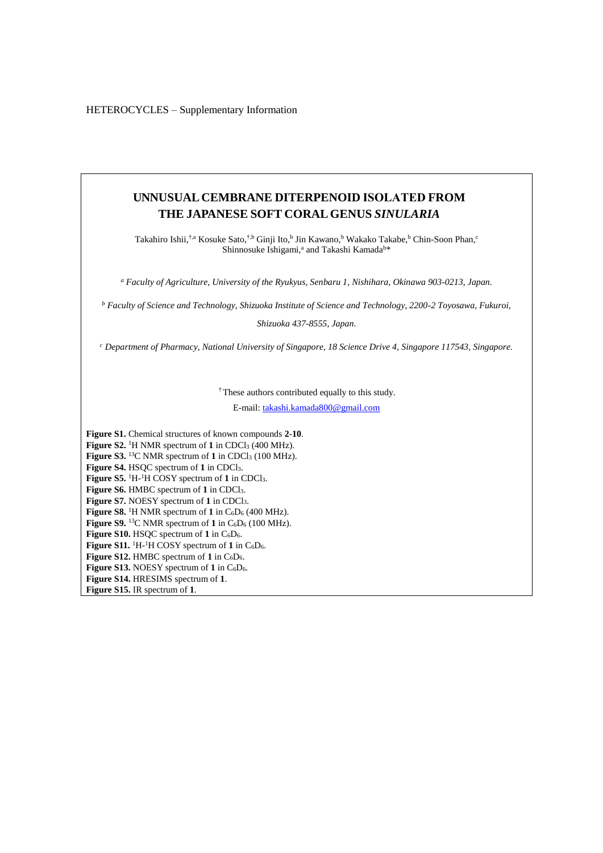HETEROCYCLES – Supplementary Information

# **UNNUSUAL CEMBRANE DITERPENOID ISOLATED FROM THE JAPANESE SOFT CORAL GENUS** *SINULARIA*

Takahiro Ishii,<sup>†,a</sup> Kosuke Sato,<sup>†,b</sup> Ginji Ito,<sup>b</sup> Jin Kawano,<sup>b</sup> Wakako Takabe,<sup>b</sup> Chin-Soon Phan,<sup>c</sup> Shinnosuke Ishigami,<sup>a</sup> and Takashi Kamada<sup>b\*</sup>

*<sup>a</sup> Faculty of Agriculture, University of the Ryukyus, Senbaru 1, Nishihara, Okinawa 903-0213, Japan.*

*<sup>b</sup> Faculty of Science and Technology, Shizuoka Institute of Science and Technology, 2200-2 Toyosawa, Fukuroi,* 

*Shizuoka 437-8555, Japan.*

*<sup>c</sup> Department of Pharmacy, National University of Singapore, 18 Science Drive 4, Singapore 117543, Singapore.*

†These authors contributed equally to this study.

E-mail[: takashi.kamada800@gmail.com](mailto:takashi.kamada800@gmail.com)

**Figure S1.** Chemical structures of known compounds **2**-**10**. Figure S2. <sup>1</sup>H NMR spectrum of 1 in CDCl<sub>3</sub> (400 MHz). Figure S3. <sup>13</sup>C NMR spectrum of 1 in CDCl<sub>3</sub> (100 MHz). **Figure S4.** HSQC spectrum of **1** in CDCl3. **Figure S5.** 1H-<sup>1</sup>H COSY spectrum of **1** in CDCl3. **Figure S6.** HMBC spectrum of **1** in CDCl3. **Figure S7.** NOESY spectrum of **1** in CDCl3. **Figure S8.** <sup>1</sup>H NMR spectrum of  $1$  in  $C_6D_6$  (400 MHz). **Figure S9.** <sup>13</sup>C NMR spectrum of **1** in  $C_6D_6$  (100 MHz). **Figure S10.** HSQC spectrum of **1** in C6D6. **Figure S11.**  ${}^{1}H$ - ${}^{1}H$  COSY spectrum of 1 in  $C_6D_6$ . Figure S12. HMBC spectrum of 1 in C<sub>6</sub>D<sub>6</sub>. Figure S13. NOESY spectrum of 1 in C<sub>6</sub>D<sub>6</sub>. **Figure S14.** HRESIMS spectrum of **1**. **Figure S15.** IR spectrum of **1**.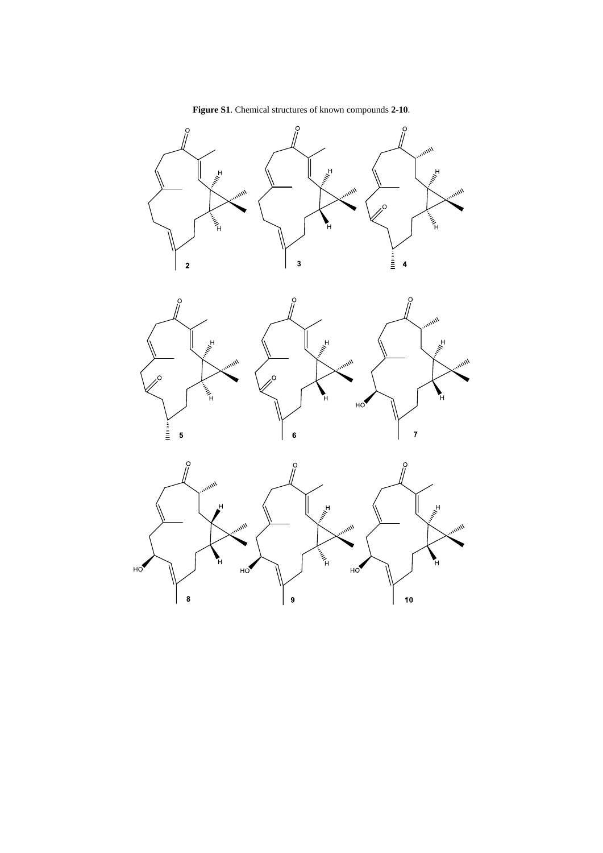

**Figure S1**. Chemical structures of known compounds **2**-**10**.



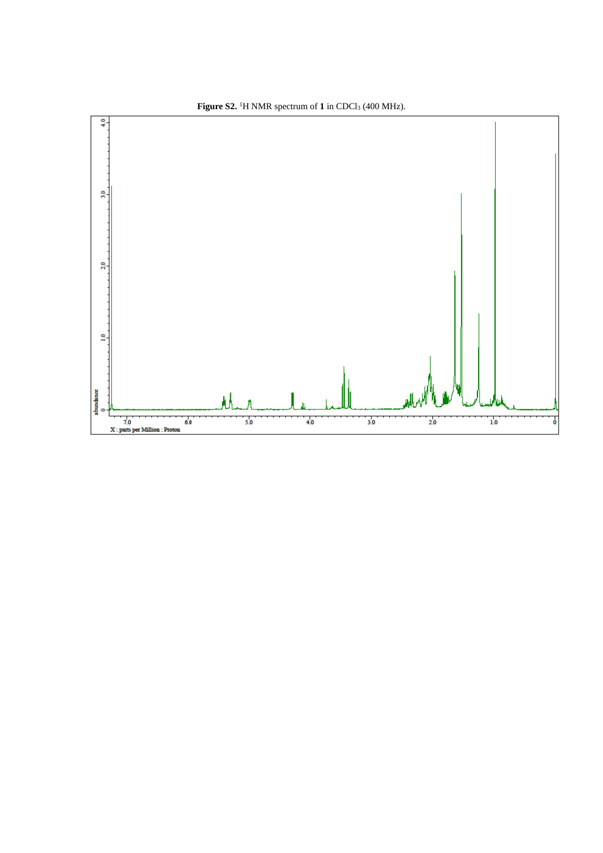

Figure S2.<sup>1</sup>H NMR spectrum of 1 in CDCl<sub>3</sub> (400 MHz).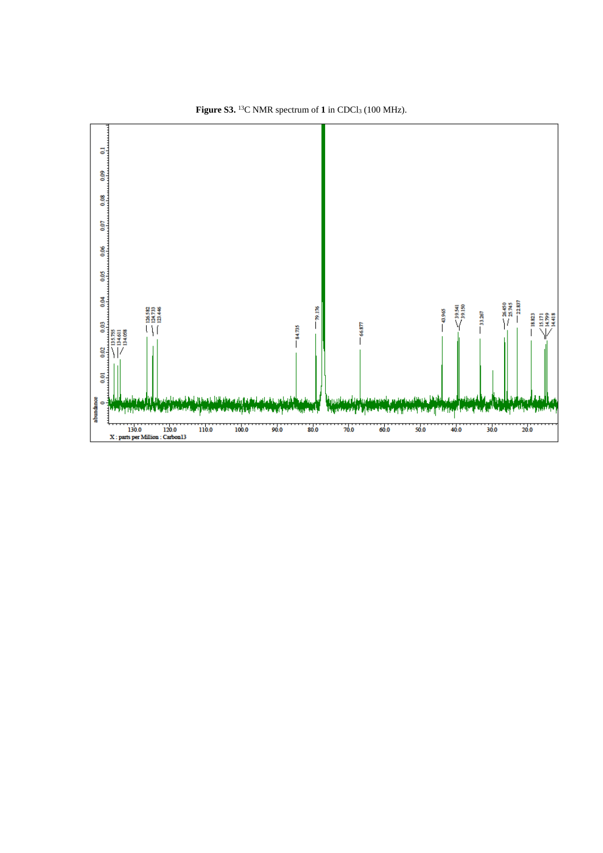

Figure S3.  $^{13}$ C NMR spectrum of 1 in CDCl<sub>3</sub> (100 MHz).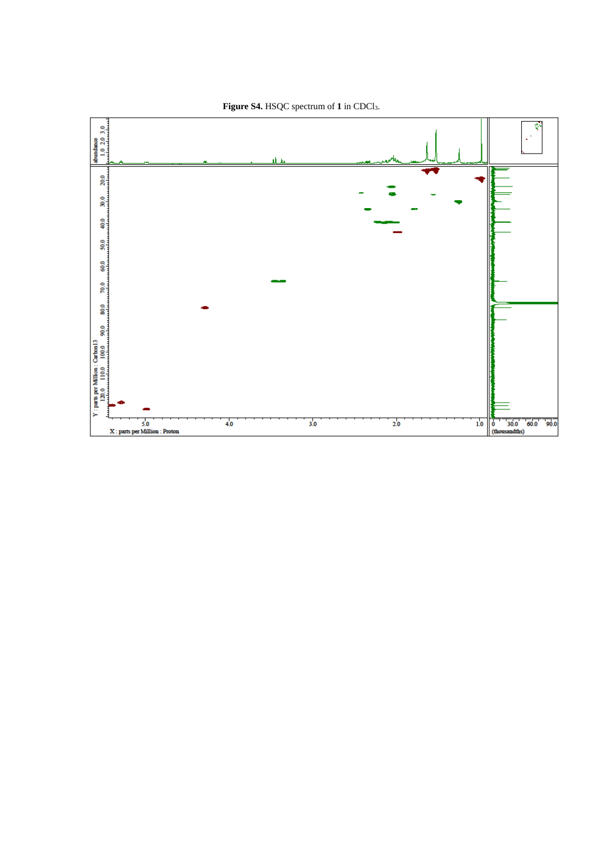

Figure S4. HSQC spectrum of 1 in CDCl<sub>3</sub>.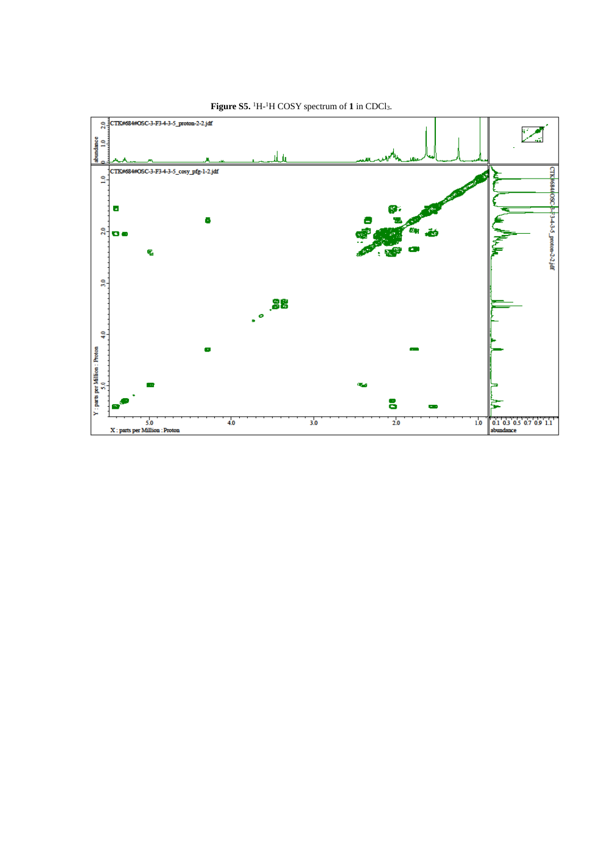

Figure S5. <sup>1</sup>H-<sup>1</sup>H COSY spectrum of 1 in CDCl<sub>3</sub>.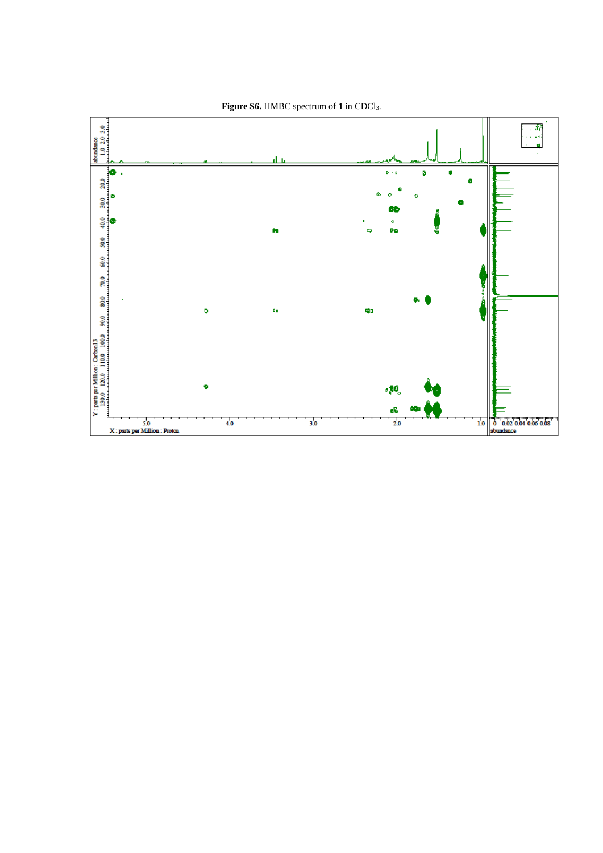

Figure S6. HMBC spectrum of 1 in CDCl<sub>3</sub>.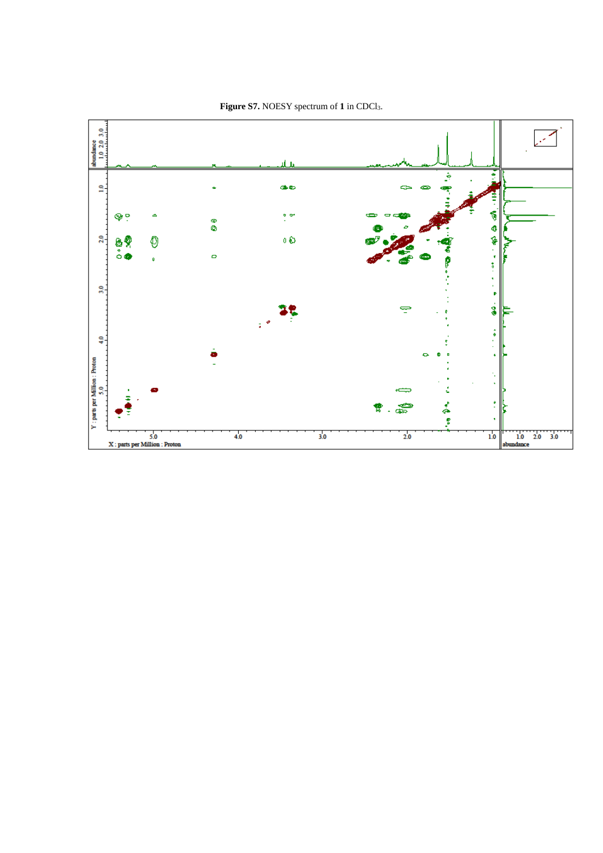

### Figure S7. NOESY spectrum of 1 in CDCl<sub>3</sub>.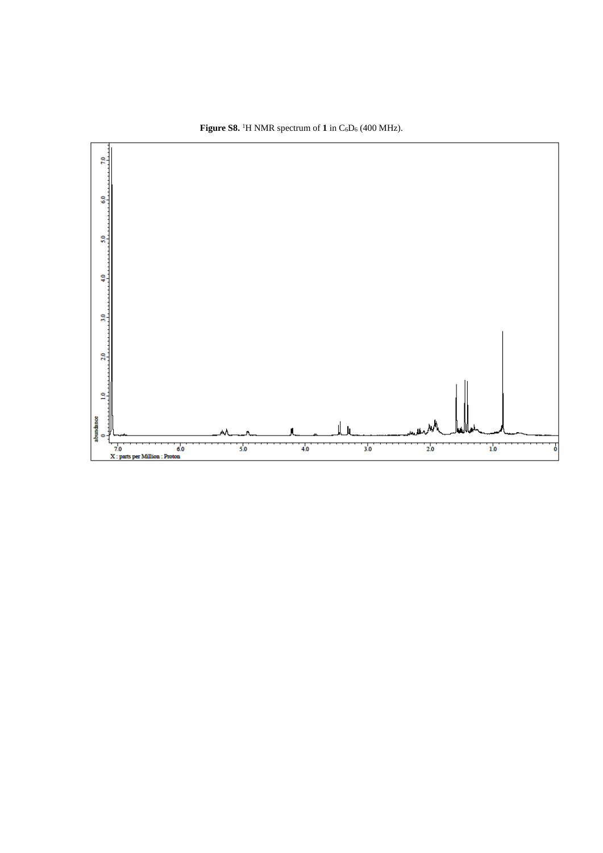

**Figure S8.** <sup>1</sup>H NMR spectrum of  $1$  in  $C_6D_6$  (400 MHz).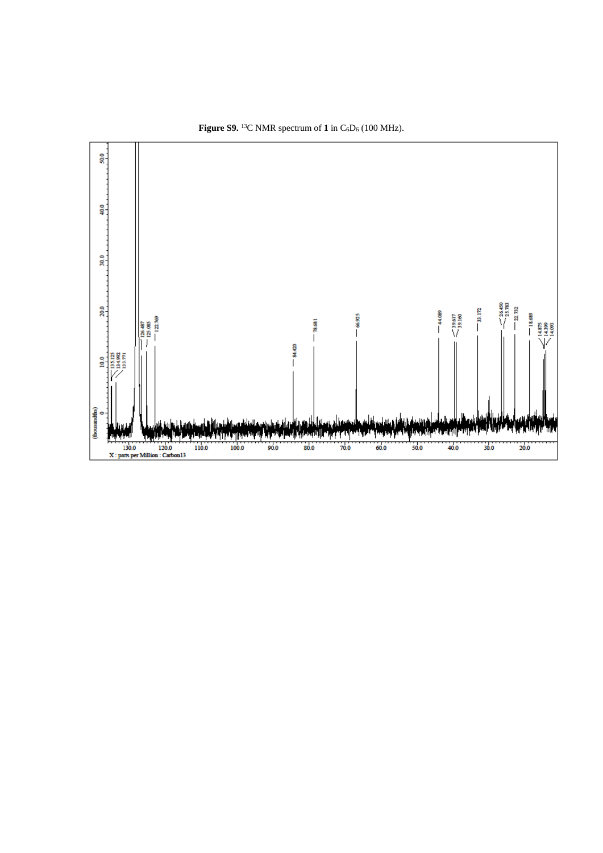

**Figure S9.** <sup>13</sup>C NMR spectrum of **1** in  $C_6D_6$  (100 MHz).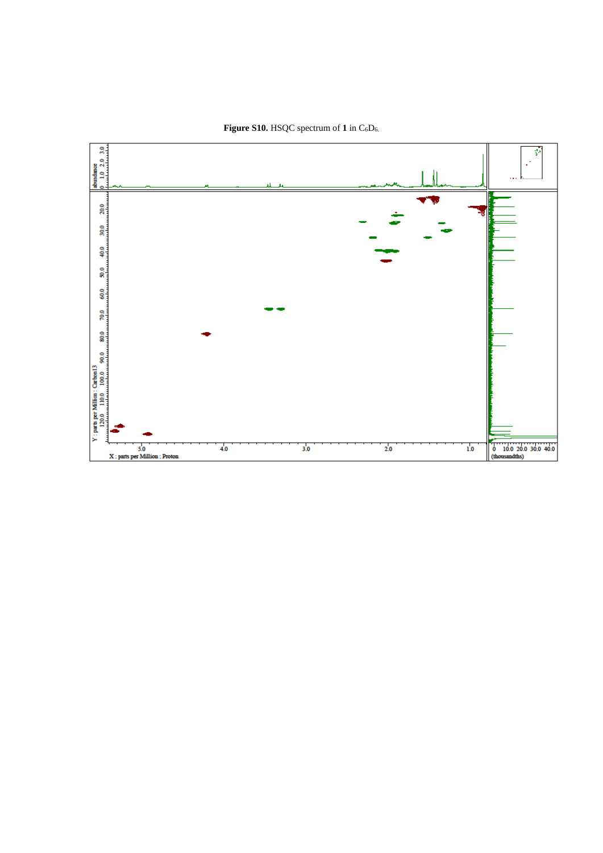

## Figure S10. HSQC spectrum of 1 in C<sub>6</sub>D<sub>6.</sub>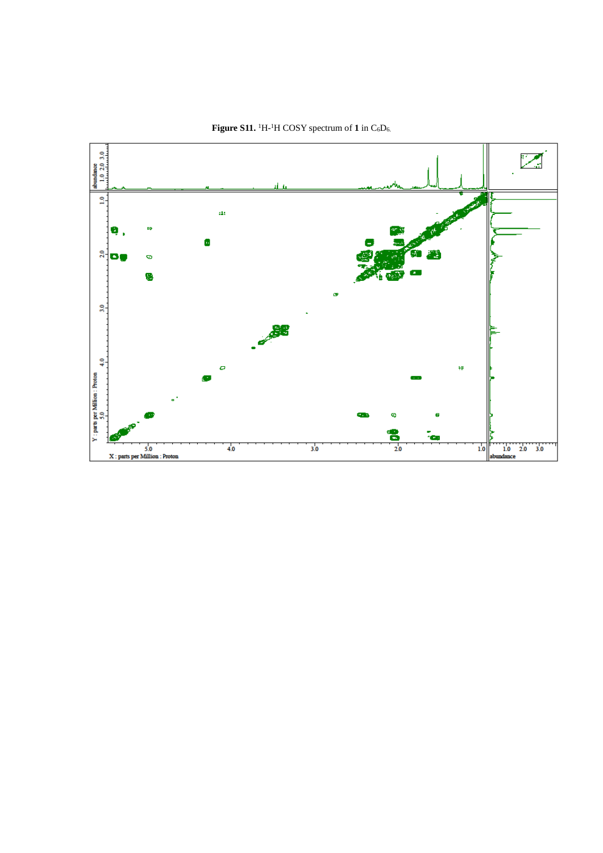

Figure S11. <sup>1</sup>H-<sup>1</sup>H COSY spectrum of 1 in  $C_6D_6$ .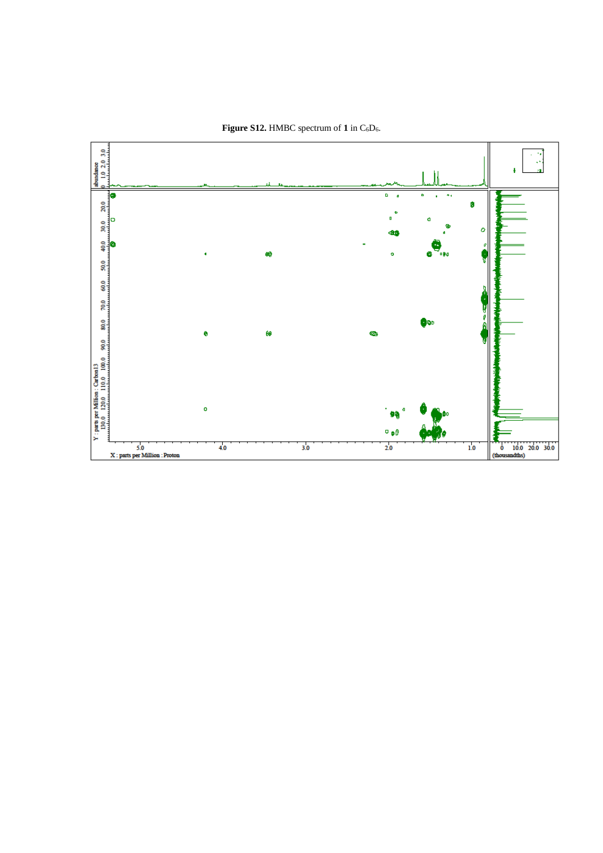

Figure S12. HMBC spectrum of 1 in  $C_6D_6$ .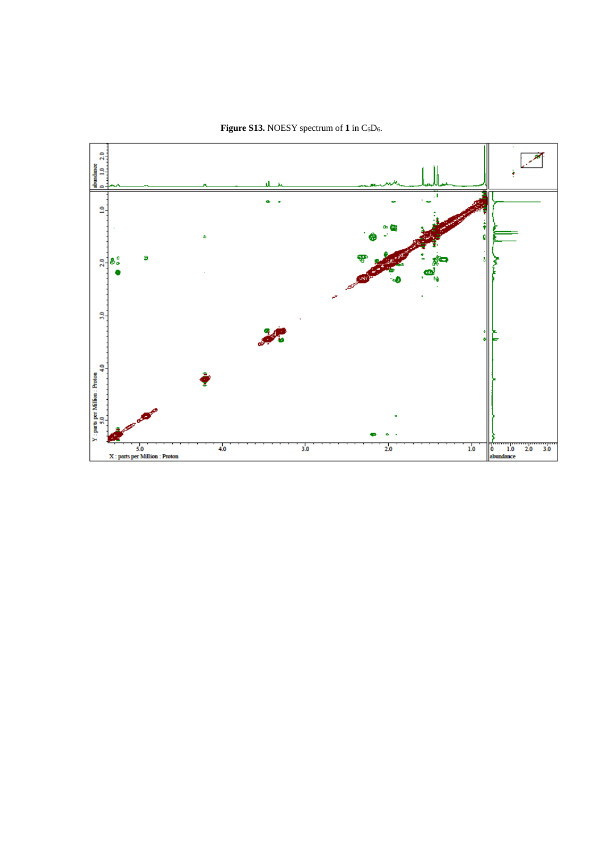

Figure S13. NOESY spectrum of 1 in  $C_6D_6$ .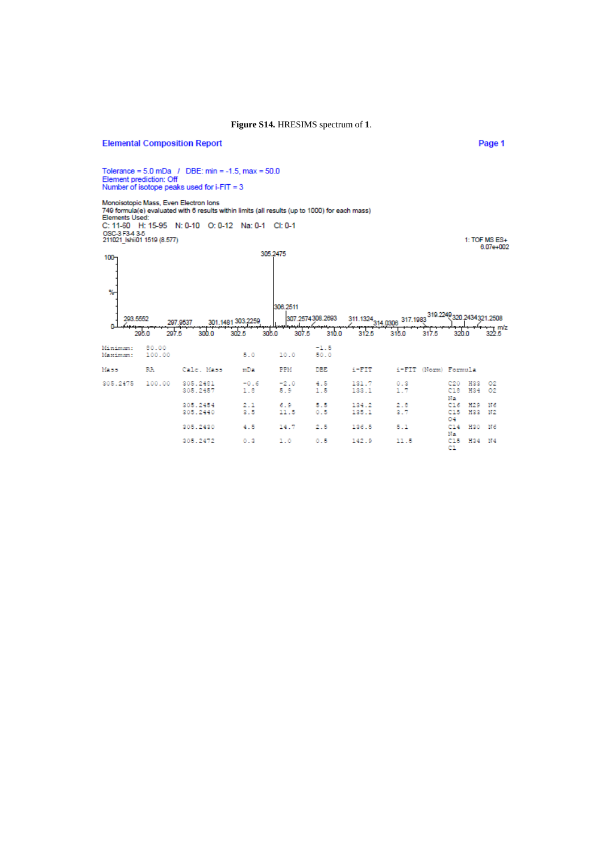### Figure S14. HRESIMS spectrum of 1.

### **Elemental Composition Report**

Tolerance = 5.0 mDa / DBE: min = -1.5, max = 50.0 Element prediction: Off Number of isotope peaks used for i-FIT = 3

Monoisotopic Mass, Even Electron Ions<br>749 formula(e) evaluated with 6 results within limits (all results (up to 1000) for each mass)<br>Elements Used:<br>C: 11-60 H: 15-95 N: 0-10 O: 0-12 Na: 0-1 Cl: 0-1 0. 11-00 n. 15-95<br>0SC-3 F3-4 3-5<br>211021\_Ishii01 1519 (8.577)

305.2475 100  $\%$ 306.2511 293.5552 307.2574308.2693 301.1481 303.2250 297.9537  $\frac{1}{322.5}$  m/z  $0 \frac{2}{310.0}$  $rac{2}{3125}$  $\frac{1}{320.0}$ للبعمبا  $\frac{1}{315.0}$   $\frac{1}{317.5}$ 295.0  $307.5$  $302.5$ 207.5  $300.0$ 305.0  $\frac{80.00}{100.00}$  $^{+1.5}_{-50.0}$ Minimum: Maximum:  $5.0$ 10.0 Mass  $\mathbf{RA}$ Calc. Mass  $mDa$  $\overline{\mathrm{PPM}}$  ${\tt DEE}$  $\mathtt{i}\text{-}\mathtt{FIT}$ i-FIT (Norm) Formula C20 H33 02<br>C18 H34 02<br>Ma<br>C15 H33 M2<br>C15 H33 M2<br>O4<br>Ma<br>R15 H34 M4<br>C1 305.2475 100.00 305.2481<br>305.2457  $\frac{-2}{5}$ .0  $\frac{4.5}{1.5}$  $\begin{array}{c} 131.7 \\ 133.1 \end{array}$  $-0.6$  $\frac{0.3}{1.7}$  $1.8$ 305.2454<br>305.2440  $\begin{smallmatrix} 2 & 1 \\ 3 & 5 \end{smallmatrix}$  $\overset{6}{\underset{11.5}{\scriptscriptstyle5}}$  $\overset{5}{\underset{0.5}{\scriptscriptstyle \bullet}}$  $\begin{array}{c} 134.2 \\ 135.1 \end{array}$  $\frac{2.8}{3.7}$ 305,2430  $4.5$ 14.7  $2.5$ 136.5  $5.1$ 305.2472  $0.3$  $1.0$  $0.5$ 142.9  $11.5$ 

1: TOF MS ES+  $6.07e+002$